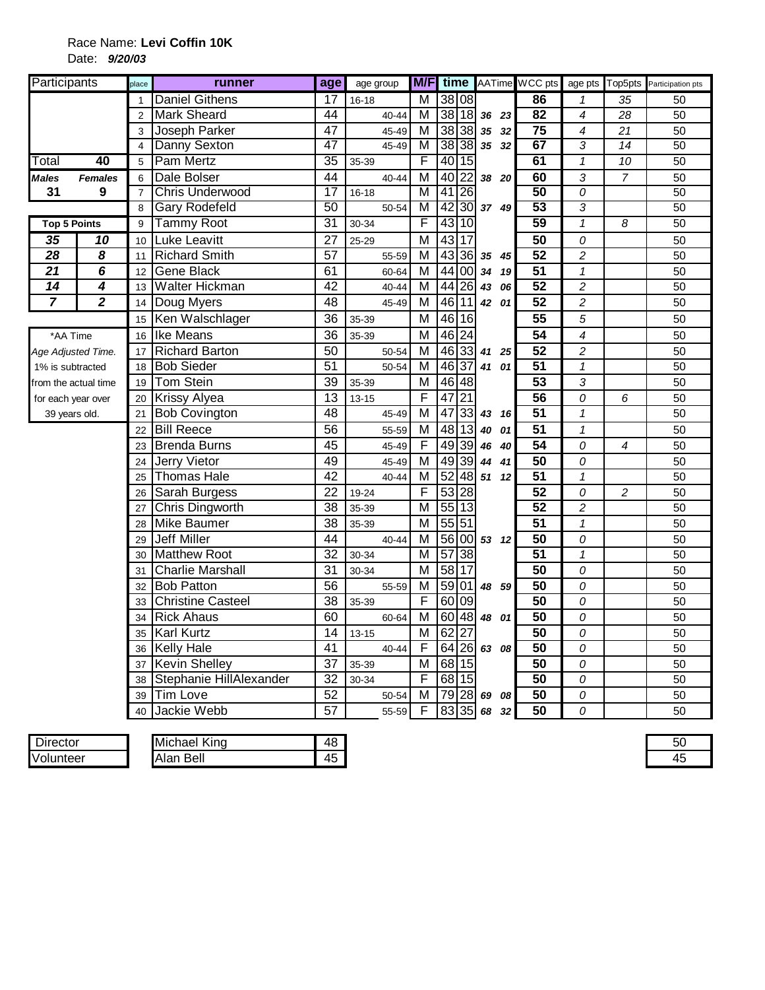## Race Name: **Levi Coffin 10K** Date: **9/20/03**

| Participants         |                         | place          | runner                   | age             | age group |                         |                 |                 |          | <b>M/F</b> time AATime WCC pts |                          |                 | age pts Top5pts Participation pts |
|----------------------|-------------------------|----------------|--------------------------|-----------------|-----------|-------------------------|-----------------|-----------------|----------|--------------------------------|--------------------------|-----------------|-----------------------------------|
|                      |                         |                | <b>Daniel Githens</b>    | 17              | $16 - 18$ | М                       |                 | 38 08           |          | 86                             | 1                        | 35              | 50                                |
|                      |                         | 2              | <b>Mark Sheard</b>       | 44              | 40-44     | м                       |                 | 38 18           | 36 23    | 82                             | $\overline{\mathcal{A}}$ | 28              | 50                                |
|                      |                         | 3              | Joseph Parker            | $\overline{47}$ | 45-49     | M                       |                 | 38 38           | 35 32    | $\overline{75}$                | $\overline{\mathcal{A}}$ | $\overline{21}$ | 50                                |
|                      |                         | 4              | Danny Sexton             | 47              | 45-49     | M                       |                 | 38 38           | 35 32    | 67                             | 3                        | 14              | 50                                |
| Total                | 40                      | 5              | Pam Mertz                | 35              | 35-39     | F                       |                 | 40 15           |          | 61                             | $\mathcal I$             | 10              | 50                                |
| <b>Males</b>         | <b>Females</b>          | 6              | Dale Bolser              | 44              | $40 - 44$ | M                       | 40              | 22              | 38 20    | 60                             | 3                        | $\overline{7}$  | 50                                |
| 31                   | 9                       | $\overline{7}$ | <b>Chris Underwood</b>   | $\overline{17}$ | $16 - 18$ | M                       | 41              | <b>26</b>       |          | $\overline{50}$                | $\overline{o}$           |                 | 50                                |
|                      |                         | 8              | <b>Gary Rodefeld</b>     | 50              | 50-54     | $\overline{\mathsf{M}}$ | 42              | 30              | 37 49    | 53                             | 3                        |                 | 50                                |
| <b>Top 5 Points</b>  |                         | 9              | <b>Tammy Root</b>        | $\overline{31}$ | 30-34     | F                       | 43              | 10              |          | 59                             | $\overline{\mathbf{1}}$  | 8               | 50                                |
| 35                   | 10                      | 10             | <b>Luke Leavitt</b>      | $\overline{27}$ | 25-29     | M                       |                 | 43 17           |          | 50                             | 0                        |                 | 50                                |
| $\overline{28}$      | 8                       | 11             | <b>Richard Smith</b>     | $\overline{57}$ | 55-59     | M                       |                 | 43 36           | 35 45    | $\overline{52}$                | $\overline{c}$           |                 | 50                                |
| 21                   | 6                       | 12             | Gene Black               | 61              | 60-64     | М                       |                 | 44 00           | 34 19    | 51                             | $\mathbf{1}$             |                 | 50                                |
| $\overline{14}$      | 4                       | 13             | Walter Hickman           | 42              | 40-44     | М                       |                 | 44 26           | 06<br>43 | 52                             | $\overline{c}$           |                 | 50                                |
| 7                    | $\overline{\mathbf{2}}$ | 14             | Doug Myers               | 48              | 45-49     | M                       | $\overline{46}$ | 11              | 42 01    | $\overline{52}$                | $\boldsymbol{2}$         |                 | 50                                |
|                      |                         | 15             | Ken Walschlager          | $\overline{36}$ | 35-39     | M                       |                 | 46 16           |          | 55                             | 5                        |                 | 50                                |
| *AA Time             |                         | 16             | <b>Ike Means</b>         | 36              | 35-39     | M                       | 46 24           |                 |          | 54                             | $\overline{\mathcal{A}}$ |                 | 50                                |
| Age Adjusted Time.   |                         | 17             | <b>Richard Barton</b>    | 50              | 50-54     | M                       |                 | 46 33           | 41 25    | 52                             | $\overline{c}$           |                 | 50                                |
| 1% is subtracted     |                         | 18             | <b>Bob Sieder</b>        | $\overline{51}$ | 50-54     | M                       | 46              | 37              | 41 01    | $\overline{51}$                | $\overline{\mathbf{1}}$  |                 | 50                                |
| from the actual time |                         | 19             | <b>Tom Stein</b>         | $\overline{39}$ | 35-39     | M                       | 46 48           |                 |          | $\overline{53}$                | 3                        |                 | 50                                |
| for each year over   |                         | 20             | <b>Krissy Alyea</b>      | 13              | $13 - 15$ | F                       | $\overline{47}$ | $\overline{21}$ |          | $\overline{56}$                | 0                        | 6               | 50                                |
| 39 years old.        |                         | 21             | <b>Bob Covington</b>     | 48              | 45-49     | M                       | 47              | 33              | 43 16    | 51                             | $\mathbf 1$              |                 | 50                                |
|                      |                         | 22             | <b>Bill Reece</b>        | 56              | 55-59     | M                       |                 | 48 13           | 40<br>01 | 51                             | $\mathbf{1}$             |                 | 50                                |
|                      |                         | 23             | <b>Brenda Burns</b>      | 45              | 45-49     | F                       |                 | 49 39           | 46<br>40 | $\overline{54}$                | 0                        | 4               | 50                                |
|                      |                         | 24             | <b>Jerry Vietor</b>      | 49              | 45-49     | M                       | 49              | 39              | 44 41    | 50                             | 0                        |                 | 50                                |
|                      |                         | 25             | <b>Thomas Hale</b>       | 42              | 40-44     | M                       | 52              | 48              | 51 12    | $\overline{51}$                | $\mathbf{1}$             |                 | 50                                |
|                      |                         | 26             | Sarah Burgess            | 22              | 19-24     | F                       | 53              | $\overline{28}$ |          | $\overline{52}$                | 0                        | $\overline{c}$  | 50                                |
|                      |                         | 27             | Chris Dingworth          | 38              | 35-39     | M                       |                 | 55 13           |          | 52                             | $\overline{c}$           |                 | 50                                |
|                      |                         | 28             | <b>Mike Baumer</b>       | 38              | 35-39     | M                       | 55 51           |                 |          | $\overline{51}$                | $\mathbf{1}$             |                 | 50                                |
|                      |                         | 29             | <b>Jeff Miller</b>       | 44              | 40-44     | M                       |                 | 56 00           | 53 12    | $\overline{50}$                | 0                        |                 | 50                                |
|                      |                         | 30             | <b>Matthew Root</b>      | $\overline{32}$ | 30-34     | M                       | $\overline{57}$ | $\overline{38}$ |          | $\overline{51}$                | $\mathbf 1$              |                 | 50                                |
|                      |                         | 31             | <b>Charlie Marshall</b>  | 31              | 30-34     | M                       | 58              | 17              |          | 50                             | 0                        |                 | 50                                |
|                      |                         | 32             | <b>Bob Patton</b>        | $\overline{56}$ | 55-59     | М                       | 59              | 01              | 48 59    | $\overline{50}$                | 0                        |                 | 50                                |
|                      |                         | 33             | <b>Christine Casteel</b> | 38              | 35-39     | F                       | 60 09           |                 |          | 50                             | 0                        |                 | 50                                |
|                      |                         |                | <b>Rick Ahaus</b>        | 60              | 60-64     | M                       | 60              | 48              | 48 01    | $\overline{50}$                | 0                        |                 | 50                                |
|                      |                         | 35             | <b>Karl Kurtz</b>        | 14              | $13 - 15$ | M                       | 62              | $\overline{27}$ |          | 50                             | 0                        |                 | 50                                |
|                      |                         | 36             | <b>Kelly Hale</b>        | 41              | 40-44     | F                       | 64              | 26              | 63 08    | 50                             | 0                        |                 | 50                                |
|                      |                         | 37             | <b>Kevin Shelley</b>     | $\overline{37}$ | 35-39     | M                       |                 | 68 15           |          | 50                             | 0                        |                 | 50                                |
|                      |                         | 38             | Stephanie HillAlexander  | 32              | 30-34     | F                       |                 | 68 15           |          | 50                             | 0                        |                 | 50                                |
|                      |                         | 39             | Tim Love                 | 52              | 50-54     | M                       | 79              | 28              | 69<br>08 | $\overline{50}$                | 0                        |                 | 50                                |
|                      |                         | 40             | Jackie Webb              | $\overline{57}$ | 55-59     | F                       |                 | 83 35           | 68 32    | $\overline{50}$                | 0                        |                 | 50                                |

| $\blacksquare$<br>rector<br>۱۲ ل | King<br>chael<br>IMIO                                                             | 48                             |
|----------------------------------|-----------------------------------------------------------------------------------|--------------------------------|
| <b>IVol</b><br>untee             | Beli<br>$\mathbf{v}$<br>IAlan<br>$\sim$ $\sim$ $\sim$ $\sim$ $\sim$ $\sim$ $\sim$ | 45<br>$\overline{\phantom{a}}$ |